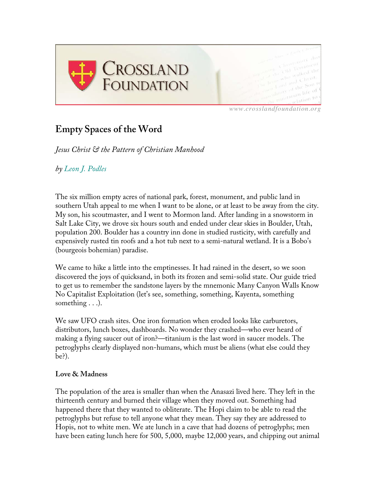

*www.crosslandfoundation.org*

## **Empty Spaces of the Word**

*Jesus Christ & the Pattern of Christian Manhood*

*by Leon J. Podles*

The six million empty acres of national park, forest, monument, and public land in southern Utah appeal to me when I want to be alone, or at least to be away from the city. My son, his scoutmaster, and I went to Mormon land. After landing in a snowstorm in Salt Lake City, we drove six hours south and ended under clear skies in Boulder, Utah, population 200. Boulder has a country inn done in studied rusticity, with carefully and expensively rusted tin roofs and a hot tub next to a semi-natural wetland. It is a Bobo's (bourgeois bohemian) paradise.

We came to hike a little into the emptinesses. It had rained in the desert, so we soon discovered the joys of quicksand, in both its frozen and semi-solid state. Our guide tried to get us to remember the sandstone layers by the mnemonic Many Canyon Walls Know No Capitalist Exploitation (let's see, something, something, Kayenta, something something . . .).

We saw UFO crash sites. One iron formation when eroded looks like carburetors, distributors, lunch boxes, dashboards. No wonder they crashed—who ever heard of making a flying saucer out of iron?—titanium is the last word in saucer models. The petroglyphs clearly displayed non-humans, which must be aliens (what else could they be?).

## **Love & Madness**

The population of the area is smaller than when the Anasazi lived here. They left in the thirteenth century and burned their village when they moved out. Something had happened there that they wanted to obliterate. The Hopi claim to be able to read the petroglyphs but refuse to tell anyone what they mean. They say they are addressed to Hopis, not to white men. We ate lunch in a cave that had dozens of petroglyphs; men have been eating lunch here for 500, 5,000, maybe 12,000 years, and chipping out animal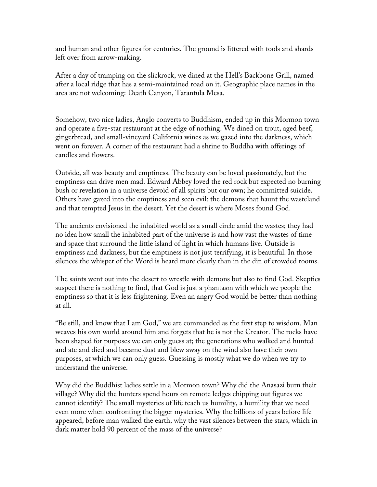and human and other figures for centuries. The ground is littered with tools and shards left over from arrow-making.

After a day of tramping on the slickrock, we dined at the Hell's Backbone Grill, named after a local ridge that has a semi-maintained road on it. Geographic place names in the area are not welcoming: Death Canyon, Tarantula Mesa.

Somehow, two nice ladies, Anglo converts to Buddhism, ended up in this Mormon town and operate a five-star restaurant at the edge of nothing. We dined on trout, aged beef, gingerbread, and small-vineyard California wines as we gazed into the darkness, which went on forever. A corner of the restaurant had a shrine to Buddha with offerings of candles and flowers.

Outside, all was beauty and emptiness. The beauty can be loved passionately, but the emptiness can drive men mad. Edward Abbey loved the red rock but expected no burning bush or revelation in a universe devoid of all spirits but our own; he committed suicide. Others have gazed into the emptiness and seen evil: the demons that haunt the wasteland and that tempted Jesus in the desert. Yet the desert is where Moses found God.

The ancients envisioned the inhabited world as a small circle amid the wastes; they had no idea how small the inhabited part of the universe is and how vast the wastes of time and space that surround the little island of light in which humans live. Outside is emptiness and darkness, but the emptiness is not just terrifying, it is beautiful. In those silences the whisper of the Word is heard more clearly than in the din of crowded rooms.

The saints went out into the desert to wrestle with demons but also to find God. Skeptics suspect there is nothing to find, that God is just a phantasm with which we people the emptiness so that it is less frightening. Even an angry God would be better than nothing at all.

"Be still, and know that I am God," we are commanded as the first step to wisdom. Man weaves his own world around him and forgets that he is not the Creator. The rocks have been shaped for purposes we can only guess at; the generations who walked and hunted and ate and died and became dust and blew away on the wind also have their own purposes, at which we can only guess. Guessing is mostly what we do when we try to understand the universe.

Why did the Buddhist ladies settle in a Mormon town? Why did the Anasazi burn their village? Why did the hunters spend hours on remote ledges chipping out figures we cannot identify? The small mysteries of life teach us humility, a humility that we need even more when confronting the bigger mysteries. Why the billions of years before life appeared, before man walked the earth, why the vast silences between the stars, which in dark matter hold 90 percent of the mass of the universe?